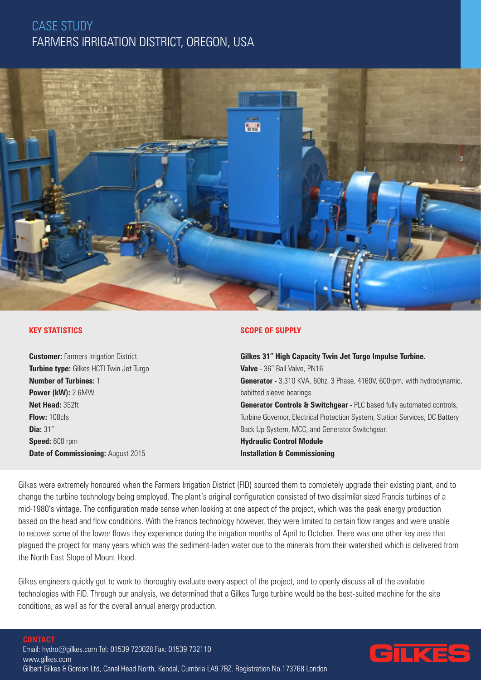## CASE STUDY FARMERS IRRIGATION DISTRICT, OREGON, USA



## **KEY STATISTICS**

**Customer:** Farmers Irrigation District **Turbine type:** Gilkes HCTI Twin Jet Turgo **Number of Turbines:** 1 **Power (kW):** 2.6MW **Net Head:** 352ft **Flow:** 108cfs **Dia:** 31" **Speed:** 600 rpm **Date of Commissioning:** August 2015

#### **SCOPE OF SUPPLY**

**Gilkes 31" High Capacity Twin Jet Turgo Impulse Turbine. Valve** - 36" Ball Valve, PN16 **Generator** - 3,310 KVA, 60hz, 3 Phase, 4160V, 600rpm, with hydrodynamic, babitted sleeve bearings. **Generator Controls & Switchgear** - PLC based fully automated controls, Turbine Governor, Electrical Protection System, Station Services, DC Battery Back-Up System, MCC, and Generator Switchgear. **Hydraulic Control Module Installation & Commissioning**

Gilkes were extremely honoured when the Farmers Irrigation District (FID) sourced them to completely upgrade their existing plant, and to change the turbine technology being employed. The plant's original configuration consisted of two dissimilar sized Francis turbines of a mid-1980's vintage. The configuration made sense when looking at one aspect of the project, which was the peak energy production based on the head and flow conditions. With the Francis technology however, they were limited to certain flow ranges and were unable to recover some of the lower flows they experience during the irrigation months of April to October. There was one other key area that plagued the project for many years which was the sediment-laden water due to the minerals from their watershed which is delivered from the North East Slope of Mount Hood.

Gilkes engineers quickly got to work to thoroughly evaluate every aspect of the project, and to openly discuss all of the available technologies with FID. Through our analysis, we determined that a Gilkes Turgo turbine would be the best-suited machine for the site conditions, as well as for the overall annual energy production.

**CONTACT**

Email: hydro@gilkes.com Tel: 01539 720028 Fax: 01539 732110 www.gilkes.com Gilbert Gilkes & Gordon Ltd, Canal Head North, Kendal, Cumbria LA9 7BZ. Registration No.173768 London